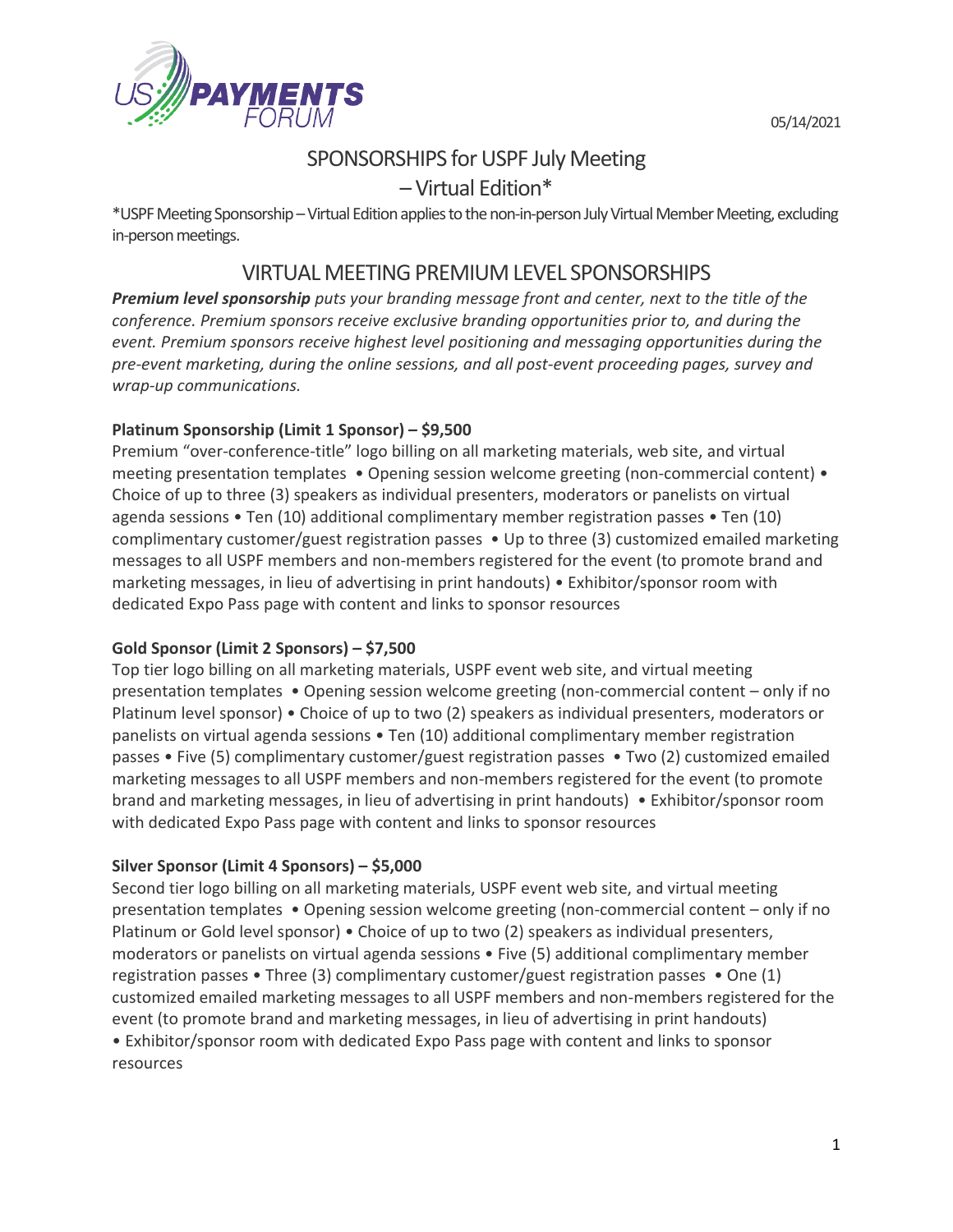05/14/2021



# SPONSORSHIPS for USPF July Meeting

– Virtual Edition\*

\*USPF Meeting Sponsorship – Virtual Edition applies to the non-in-person July Virtual Member Meeting, excluding in-person meetings.

## VIRTUAL MEETING PREMIUM LEVEL SPONSORSHIPS

*Premium level sponsorship puts your branding message front and center, next to the title of the conference. Premium sponsors receive exclusive branding opportunities prior to, and during the event. Premium sponsors receive highest level positioning and messaging opportunities during the pre-event marketing, during the online sessions, and all post-event proceeding pages, survey and wrap-up communications.*

## **Platinum Sponsorship (Limit 1 Sponsor) – \$9,500**

Premium "over-conference-title" logo billing on all marketing materials, web site, and virtual meeting presentation templates • Opening session welcome greeting (non-commercial content) • Choice of up to three (3) speakers as individual presenters, moderators or panelists on virtual agenda sessions • Ten (10) additional complimentary member registration passes • Ten (10) complimentary customer/guest registration passes • Up to three (3) customized emailed marketing messages to all USPF members and non-members registered for the event (to promote brand and marketing messages, in lieu of advertising in print handouts) • Exhibitor/sponsor room with dedicated Expo Pass page with content and links to sponsor resources

## **Gold Sponsor (Limit 2 Sponsors) – \$7,500**

Top tier logo billing on all marketing materials, USPF event web site, and virtual meeting presentation templates • Opening session welcome greeting (non-commercial content – only if no Platinum level sponsor) • Choice of up to two (2) speakers as individual presenters, moderators or panelists on virtual agenda sessions • Ten (10) additional complimentary member registration passes • Five (5) complimentary customer/guest registration passes • Two (2) customized emailed marketing messages to all USPF members and non-members registered for the event (to promote brand and marketing messages, in lieu of advertising in print handouts) • Exhibitor/sponsor room with dedicated Expo Pass page with content and links to sponsor resources

## **Silver Sponsor (Limit 4 Sponsors) – \$5,000**

Second tier logo billing on all marketing materials, USPF event web site, and virtual meeting presentation templates • Opening session welcome greeting (non-commercial content – only if no Platinum or Gold level sponsor) • Choice of up to two (2) speakers as individual presenters, moderators or panelists on virtual agenda sessions • Five (5) additional complimentary member registration passes • Three (3) complimentary customer/guest registration passes • One (1) customized emailed marketing messages to all USPF members and non-members registered for the event (to promote brand and marketing messages, in lieu of advertising in print handouts) • Exhibitor/sponsor room with dedicated Expo Pass page with content and links to sponsor

resources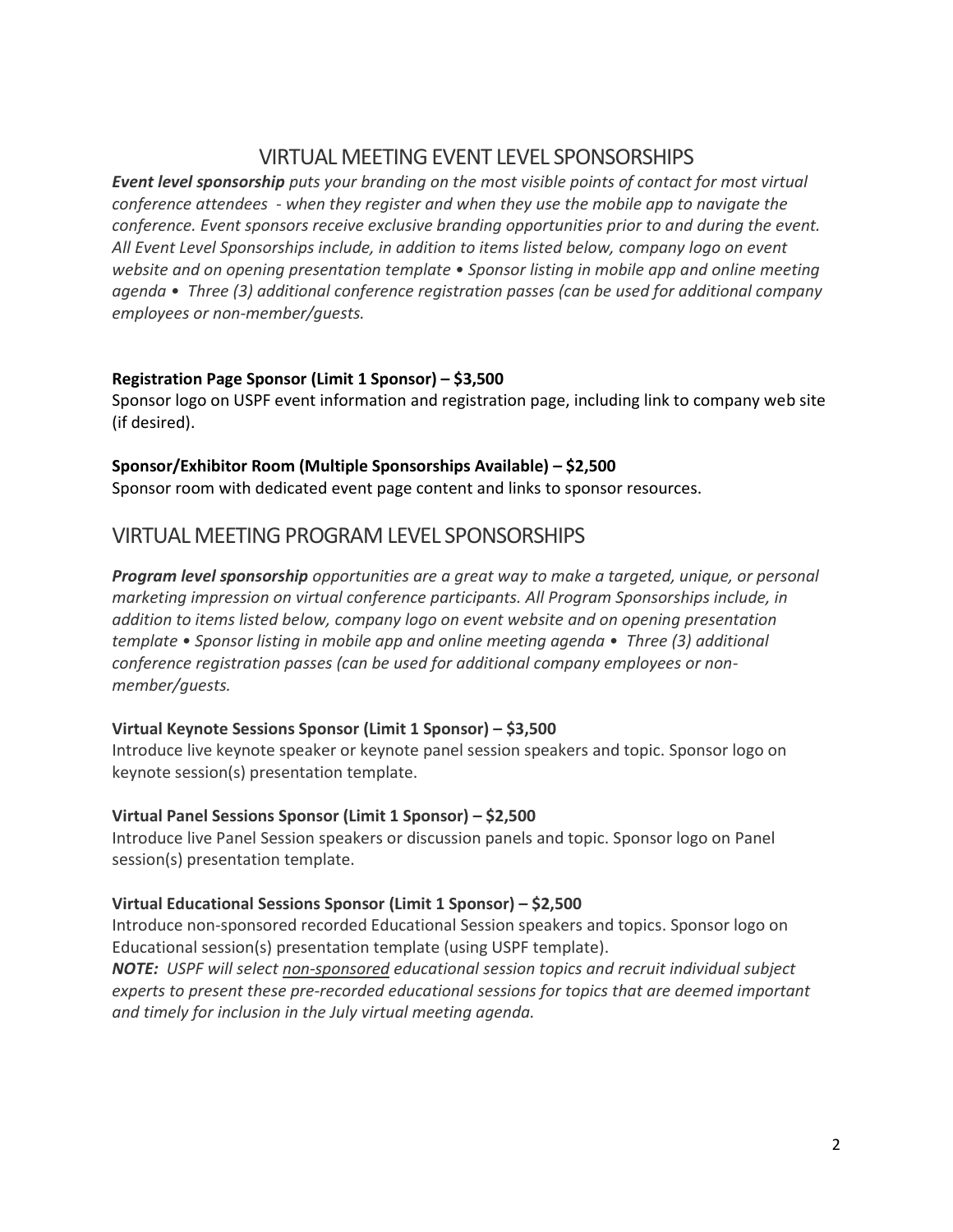## VIRTUAL MEETING EVENT LEVEL SPONSORSHIPS

*Event level sponsorship puts your branding on the most visible points of contact for most virtual conference attendees - when they register and when they use the mobile app to navigate the conference. Event sponsors receive exclusive branding opportunities prior to and during the event. All Event Level Sponsorships include, in addition to items listed below, company logo on event website and on opening presentation template • Sponsor listing in mobile app and online meeting agenda • Three (3) additional conference registration passes (can be used for additional company employees or non-member/guests.*

#### **Registration Page Sponsor (Limit 1 Sponsor) – \$3,500**

Sponsor logo on USPF event information and registration page, including link to company web site (if desired).

#### **Sponsor/Exhibitor Room (Multiple Sponsorships Available) – \$2,500**

Sponsor room with dedicated event page content and links to sponsor resources.

## VIRTUAL MEETING PROGRAM LEVEL SPONSORSHIPS

*Program level sponsorship opportunities are a great way to make a targeted, unique, or personal marketing impression on virtual conference participants. All Program Sponsorships include, in addition to items listed below, company logo on event website and on opening presentation template • Sponsor listing in mobile app and online meeting agenda • Three (3) additional conference registration passes (can be used for additional company employees or nonmember/guests.*

## **Virtual Keynote Sessions Sponsor (Limit 1 Sponsor) – \$3,500**

Introduce live keynote speaker or keynote panel session speakers and topic. Sponsor logo on keynote session(s) presentation template.

#### **Virtual Panel Sessions Sponsor (Limit 1 Sponsor) – \$2,500**

Introduce live Panel Session speakers or discussion panels and topic. Sponsor logo on Panel session(s) presentation template.

## **Virtual Educational Sessions Sponsor (Limit 1 Sponsor) – \$2,500**

Introduce non-sponsored recorded Educational Session speakers and topics. Sponsor logo on Educational session(s) presentation template (using USPF template).

*NOTE: USPF will select non-sponsored educational session topics and recruit individual subject experts to present these pre-recorded educational sessions for topics that are deemed important and timely for inclusion in the July virtual meeting agenda.*